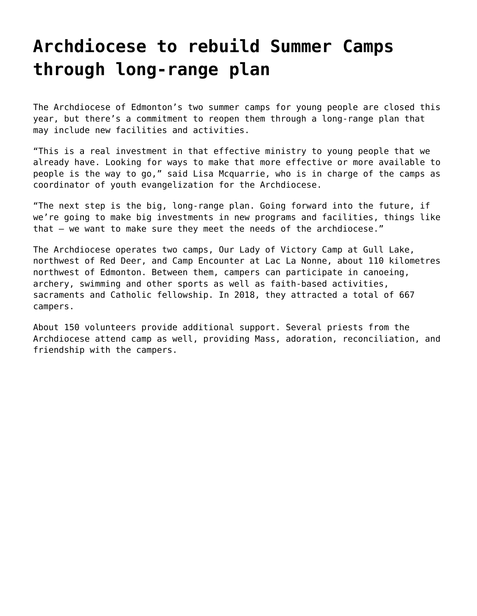## **[Archdiocese to rebuild Summer Camps](https://grandinmedia.ca/long-range-plan-for-summer-camps/) [through long-range plan](https://grandinmedia.ca/long-range-plan-for-summer-camps/)**

The Archdiocese of Edmonton's two summer camps for young people are closed this year, but there's a commitment to reopen them through a long-range plan that may include new facilities and activities.

"This is a real investment in that effective ministry to young people that we already have. Looking for ways to make that more effective or more available to people is the way to go," said Lisa Mcquarrie, who is in charge of the camps as coordinator of youth evangelization for the Archdiocese.

"The next step is the big, long-range plan. Going forward into the future, if we're going to make big investments in new programs and facilities, things like that — we want to make sure they meet the needs of the archdiocese."

The Archdiocese operates two camps, [Our Lady of Victory Camp](http://www.olvc.ab.ca/) at Gull Lake, northwest of Red Deer, and [Camp Encounter](http://www.campencounter.com/) at Lac La Nonne, about 110 kilometres northwest of Edmonton. Between them, campers can participate in canoeing, archery, swimming and other sports as well as faith-based activities, sacraments and Catholic fellowship. In 2018, they attracted a total of 667 campers.

About 150 volunteers provide additional support. Several priests from the Archdiocese attend camp as well, providing Mass, adoration, reconciliation, and friendship with the campers.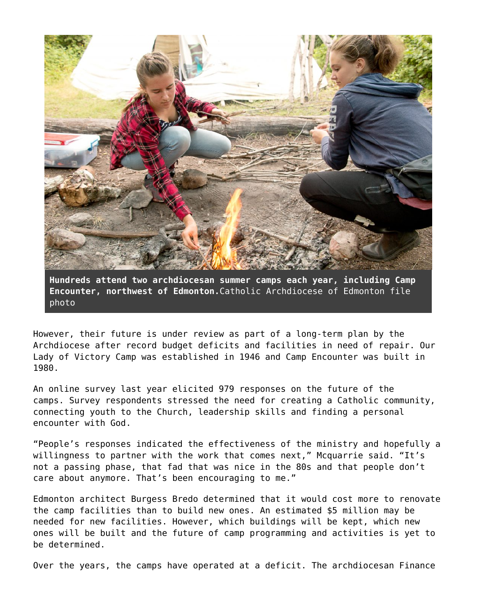

**Hundreds attend two archdiocesan summer camps each year, including Camp Encounter, northwest of Edmonton.**Catholic Archdiocese of Edmonton file photo

However, their future is under review as part of a long-term plan by the Archdiocese after record budget deficits and facilities in need of repair. Our Lady of Victory Camp was established in 1946 and Camp Encounter was built in 1980.

An online survey last year elicited 979 responses on the future of the camps. Survey respondents stressed the need for creating a Catholic community, connecting youth to the Church, leadership skills and finding a personal encounter with God.

"People's responses indicated the effectiveness of the ministry and hopefully a willingness to partner with the work that comes next," Mcquarrie said. "It's not a passing phase, that fad that was nice in the 80s and that people don't care about anymore. That's been encouraging to me."

Edmonton architect Burgess Bredo determined that it would cost more to renovate the camp facilities than to build new ones. An estimated \$5 million may be needed for new facilities. However, which buildings will be kept, which new ones will be built and the future of camp programming and activities is yet to be determined.

Over the years, the camps have operated at a deficit. The archdiocesan Finance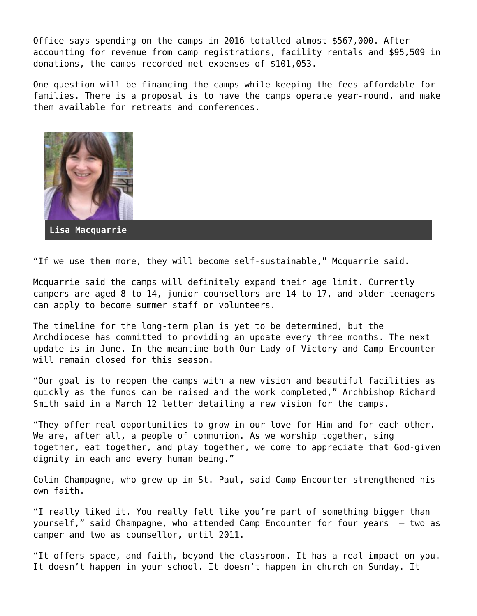Office says spending on the camps in 2016 totalled almost \$567,000. After accounting for revenue from camp registrations, facility rentals and \$95,509 in donations, the camps recorded net expenses of \$101,053.

One question will be financing the camps while keeping the fees affordable for families. There is a proposal is to have the camps operate year-round, and make them available for retreats and conferences.



**Lisa Macquarrie**

"If we use them more, they will become self-sustainable," Mcquarrie said.

Mcquarrie said the camps will definitely expand their age limit. Currently campers are aged 8 to 14, junior counsellors are 14 to 17, and older teenagers can apply to become summer staff or volunteers.

The timeline for the long-term plan is yet to be determined, but the Archdiocese has committed to providing an update every three months. The next update is in June. In the meantime both Our Lady of Victory and Camp Encounter will remain closed for this season.

"Our goal is to reopen the camps with a new vision and beautiful facilities as quickly as the funds can be raised and the work completed," Archbishop Richard Smith said in a March 12 [letter detailing a new vision for the camps.](https://www.caedm.ca/PastoralScene/entryid/734/a-new-vision-for-archdiocesan-camps)

"They offer real opportunities to grow in our love for Him and for each other. We are, after all, a people of communion. As we worship together, sing together, eat together, and play together, we come to appreciate that God-given dignity in each and every human being."

Colin Champagne, who grew up in St. Paul, said Camp Encounter strengthened his own faith.

"I really liked it. You really felt like you're part of something bigger than yourself," said Champagne, who attended Camp Encounter for four years – two as camper and two as counsellor, until 2011.

"It offers space, and faith, beyond the classroom. It has a real impact on you. It doesn't happen in your school. It doesn't happen in church on Sunday. It